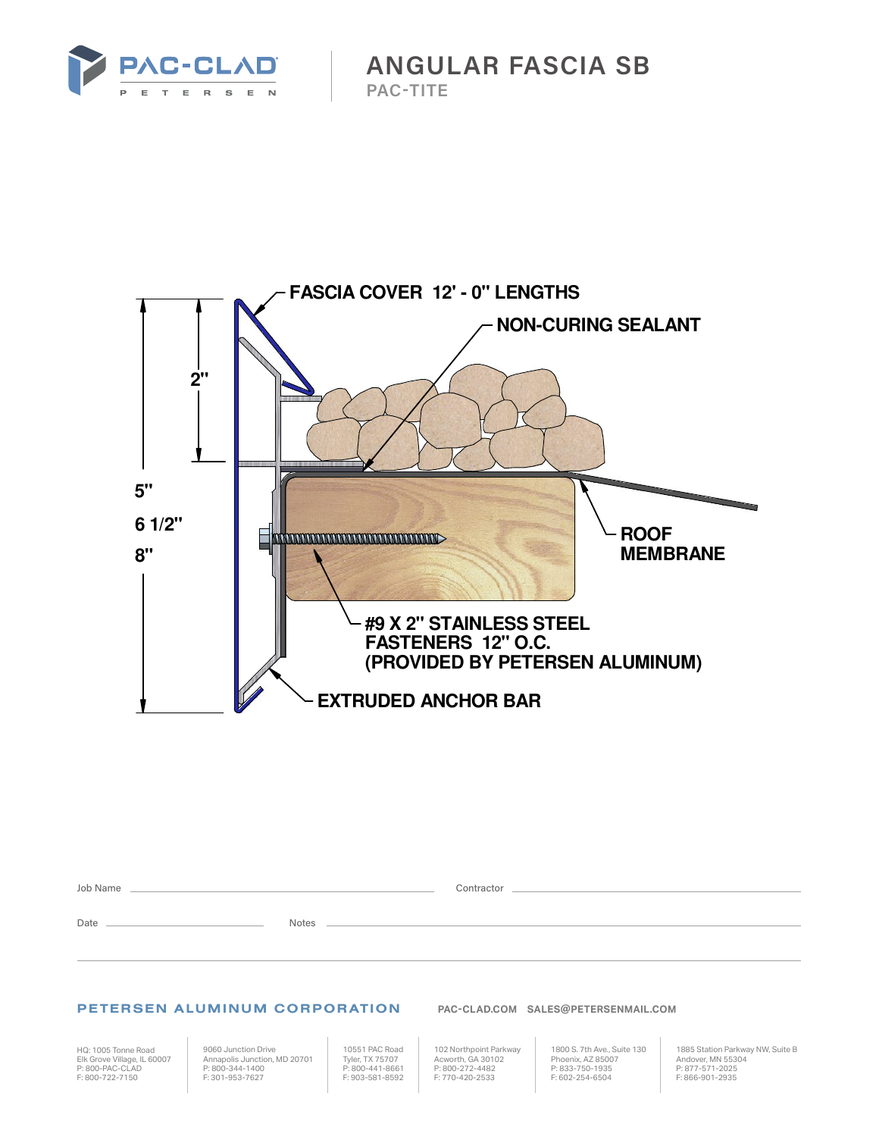

**ANGULAR FASCIA SB PAC-TITE**



| Job Name |              | Contractor |
|----------|--------------|------------|
| Date     | <b>Notes</b> |            |

## PETERSEN ALUMINUM CORPORATION **PAC-CLAD.COM SALES@PETERSENMAIL.COM**

HQ: 1005 Tonne Road Elk Grove Village, IL 60007 P: 800-PAC-CLAD F: 800-722-7150

9060 Junction Drive Annapolis Junction, MD 20701 P: 800-344-1400 F: 301-953-7627

10551 PAC Road Tyler, TX 75707 P: 800-441-8661 F: 903-581-8592

102 Northpoint Parkway Acworth, GA 30102 P: 800-272-4482 F: 770-420-2533

1800 S. 7th Ave., Suite 130 Phoenix, AZ 85007 P: 833-750-1935 F: 602-254-6504

1885 Station Parkway NW, Suite B Andover, MN 55304 P: 877-571-2025 F: 866-901-2935